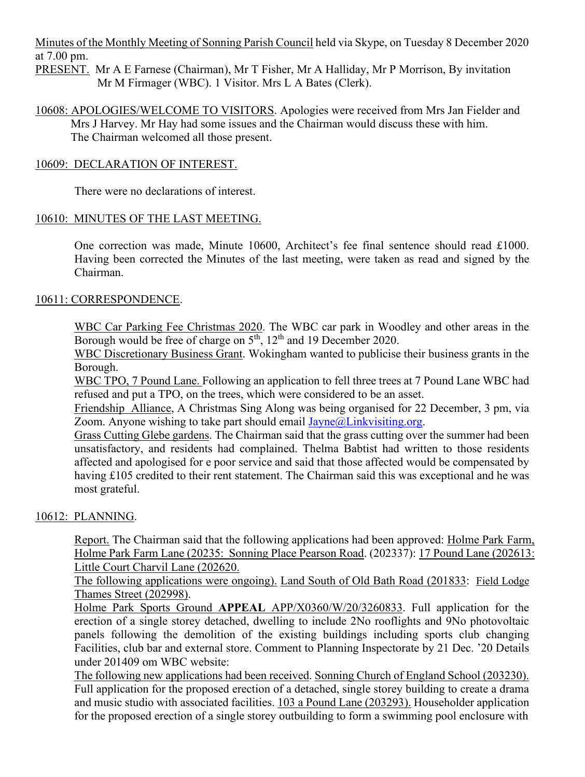Minutes of the Monthly Meeting of Sonning Parish Council held via Skype, on Tuesday 8 December 2020 at 7.00 pm.

- PRESENT. Mr A E Farnese (Chairman), Mr T Fisher, Mr A Halliday, Mr P Morrison, By invitation Mr M Firmager (WBC). 1 Visitor. Mrs L A Bates (Clerk).
- 10608: APOLOGIES/WELCOME TO VISITORS. Apologies were received from Mrs Jan Fielder and Mrs J Harvey. Mr Hay had some issues and the Chairman would discuss these with him. The Chairman welcomed all those present.

#### 10609: DECLARATION OF INTEREST.

There were no declarations of interest.

#### 10610: MINUTES OF THE LAST MEETING.

One correction was made, Minute 10600, Architect's fee final sentence should read £1000. Having been corrected the Minutes of the last meeting, were taken as read and signed by the Chairman.

#### 10611: CORRESPONDENCE.

WBC Car Parking Fee Christmas 2020. The WBC car park in Woodley and other areas in the Borough would be free of charge on  $5<sup>th</sup>$ ,  $12<sup>th</sup>$  and 19 December 2020.

WBC Discretionary Business Grant. Wokingham wanted to publicise their business grants in the Borough.

WBC TPO, 7 Pound Lane. Following an application to fell three trees at 7 Pound Lane WBC had refused and put a TPO, on the trees, which were considered to be an asset.

Friendship Alliance, A Christmas Sing Along was being organised for 22 December, 3 pm, via Zoom. Anyone wishing to take part should email  $Jayne@Linkvisiting.org$ .

Grass Cutting Glebe gardens. The Chairman said that the grass cutting over the summer had been unsatisfactory, and residents had complained. Thelma Babtist had written to those residents affected and apologised for e poor service and said that those affected would be compensated by having £105 credited to their rent statement. The Chairman said this was exceptional and he was most grateful.

# 10612: PLANNING.

Report. The Chairman said that the following applications had been approved: Holme Park Farm, Holme Park Farm Lane (20235: Sonning Place Pearson Road. (202337): 17 Pound Lane (202613: Little Court Charvil Lane (202620.

The following applications were ongoing). Land South of Old Bath Road (201833: Field Lodge Thames Street (202998).

Holme Park Sports Ground **APPEAL** APP/X0360/W/20/3260833. Full application for the erection of a single storey detached, dwelling to include 2No rooflights and 9No photovoltaic panels following the demolition of the existing buildings including sports club changing Facilities, club bar and external store. Comment to Planning Inspectorate by 21 Dec. '20 Details under 201409 om WBC website:

The following new applications had been received. Sonning Church of England School (203230). Full application for the proposed erection of a detached, single storey building to create a drama and music studio with associated facilities. 103 a Pound Lane (203293). Householder application for the proposed erection of a single storey outbuilding to form a swimming pool enclosure with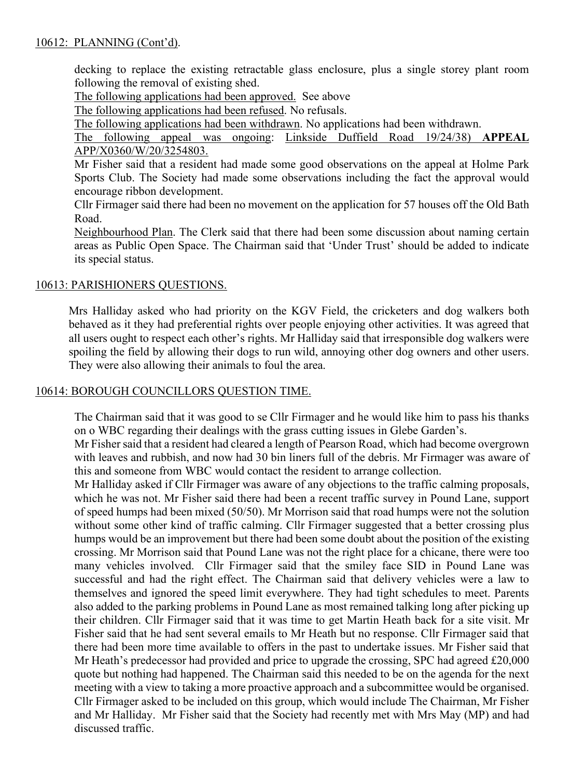# 10612: PLANNING (Cont'd).

decking to replace the existing retractable glass enclosure, plus a single storey plant room following the removal of existing shed.

The following applications had been approved. See above

The following applications had been refused. No refusals.

The following applications had been withdrawn. No applications had been withdrawn.

The following appeal was ongoing: Linkside Duffield Road 19/24/38) **APPEAL** APP/X0360/W/20/3254803.

Mr Fisher said that a resident had made some good observations on the appeal at Holme Park Sports Club. The Society had made some observations including the fact the approval would encourage ribbon development.

Cllr Firmager said there had been no movement on the application for 57 houses off the Old Bath Road.

Neighbourhood Plan. The Clerk said that there had been some discussion about naming certain areas as Public Open Space. The Chairman said that 'Under Trust' should be added to indicate its special status.

#### 10613: PARISHIONERS QUESTIONS.

Mrs Halliday asked who had priority on the KGV Field, the cricketers and dog walkers both behaved as it they had preferential rights over people enjoying other activities. It was agreed that all users ought to respect each other's rights. Mr Halliday said that irresponsible dog walkers were spoiling the field by allowing their dogs to run wild, annoying other dog owners and other users. They were also allowing their animals to foul the area.

#### 10614: BOROUGH COUNCILLORS QUESTION TIME.

The Chairman said that it was good to se Cllr Firmager and he would like him to pass his thanks on o WBC regarding their dealings with the grass cutting issues in Glebe Garden's.

Mr Fisher said that a resident had cleared a length of Pearson Road, which had become overgrown with leaves and rubbish, and now had 30 bin liners full of the debris. Mr Firmager was aware of this and someone from WBC would contact the resident to arrange collection.

Mr Halliday asked if Cllr Firmager was aware of any objections to the traffic calming proposals, which he was not. Mr Fisher said there had been a recent traffic survey in Pound Lane, support of speed humps had been mixed (50/50). Mr Morrison said that road humps were not the solution without some other kind of traffic calming. Cllr Firmager suggested that a better crossing plus humps would be an improvement but there had been some doubt about the position of the existing crossing. Mr Morrison said that Pound Lane was not the right place for a chicane, there were too many vehicles involved. Cllr Firmager said that the smiley face SID in Pound Lane was successful and had the right effect. The Chairman said that delivery vehicles were a law to themselves and ignored the speed limit everywhere. They had tight schedules to meet. Parents also added to the parking problems in Pound Lane as most remained talking long after picking up their children. Cllr Firmager said that it was time to get Martin Heath back for a site visit. Mr Fisher said that he had sent several emails to Mr Heath but no response. Cllr Firmager said that there had been more time available to offers in the past to undertake issues. Mr Fisher said that Mr Heath's predecessor had provided and price to upgrade the crossing, SPC had agreed £20,000 quote but nothing had happened. The Chairman said this needed to be on the agenda for the next meeting with a view to taking a more proactive approach and a subcommittee would be organised. Cllr Firmager asked to be included on this group, which would include The Chairman, Mr Fisher and Mr Halliday. Mr Fisher said that the Society had recently met with Mrs May (MP) and had discussed traffic.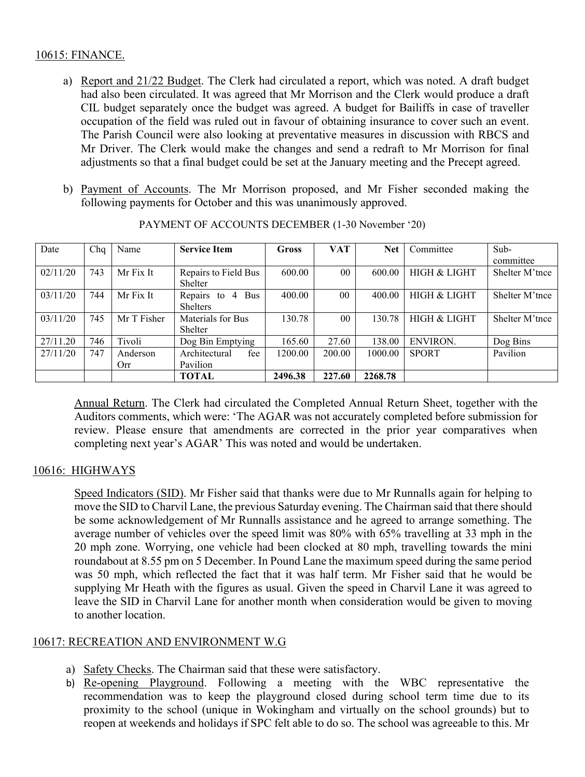# 10615: FINANCE.

- a) Report and 21/22 Budget. The Clerk had circulated a report, which was noted. A draft budget had also been circulated. It was agreed that Mr Morrison and the Clerk would produce a draft CIL budget separately once the budget was agreed. A budget for Bailiffs in case of traveller occupation of the field was ruled out in favour of obtaining insurance to cover such an event. The Parish Council were also looking at preventative measures in discussion with RBCS and Mr Driver. The Clerk would make the changes and send a redraft to Mr Morrison for final adjustments so that a final budget could be set at the January meeting and the Precept agreed.
- b) Payment of Accounts. The Mr Morrison proposed, and Mr Fisher seconded making the following payments for October and this was unanimously approved.

| Date     | Chq | Name        | <b>Service Item</b>  | <b>Gross</b> | <b>VAT</b>     | <b>Net</b> | Committee               | Sub-           |
|----------|-----|-------------|----------------------|--------------|----------------|------------|-------------------------|----------------|
|          |     |             |                      |              |                |            |                         | committee      |
| 02/11/20 | 743 | Mr Fix It   | Repairs to Field Bus | 600.00       | 00             | 600.00     | HIGH & LIGHT            | Shelter M'tnce |
|          |     |             | Shelter              |              |                |            |                         |                |
| 03/11/20 | 744 | Mr Fix It   | Repairs to 4 Bus     | 400.00       | 0 <sub>0</sub> | 400.00     | <b>HIGH &amp; LIGHT</b> | Shelter M'tnce |
|          |     |             | <b>Shelters</b>      |              |                |            |                         |                |
| 03/11/20 | 745 | Mr T Fisher | Materials for Bus    | 130.78       | 0 <sub>0</sub> | 130.78     | <b>HIGH &amp; LIGHT</b> | Shelter M'tnce |
|          |     |             | Shelter              |              |                |            |                         |                |
| 27/11.20 | 746 | Tivoli      | Dog Bin Emptying     | 165.60       | 27.60          | 138.00     | <b>ENVIRON.</b>         | Dog Bins       |
| 27/11/20 | 747 | Anderson    | Architectural<br>fee | 1200.00      | 200.00         | 1000.00    | <b>SPORT</b>            | Pavilion       |
|          |     | Orr         | Pavilion             |              |                |            |                         |                |
|          |     |             | TOTAL                | 2496.38      | 227.60         | 2268.78    |                         |                |

PAYMENT OF ACCOUNTS DECEMBER (1-30 November '20)

Annual Return. The Clerk had circulated the Completed Annual Return Sheet, together with the Auditors comments, which were: 'The AGAR was not accurately completed before submission for review. Please ensure that amendments are corrected in the prior year comparatives when completing next year's AGAR' This was noted and would be undertaken.

# 10616: HIGHWAYS

Speed Indicators (SID). Mr Fisher said that thanks were due to Mr Runnalls again for helping to move the SID to Charvil Lane, the previous Saturday evening. The Chairman said that there should be some acknowledgement of Mr Runnalls assistance and he agreed to arrange something. The average number of vehicles over the speed limit was 80% with 65% travelling at 33 mph in the 20 mph zone. Worrying, one vehicle had been clocked at 80 mph, travelling towards the mini roundabout at 8.55 pm on 5 December. In Pound Lane the maximum speed during the same period was 50 mph, which reflected the fact that it was half term. Mr Fisher said that he would be supplying Mr Heath with the figures as usual. Given the speed in Charvil Lane it was agreed to leave the SID in Charvil Lane for another month when consideration would be given to moving to another location.

# 10617: RECREATION AND ENVIRONMENT W.G

- a) Safety Checks. The Chairman said that these were satisfactory.
- b) Re-opening Playground. Following a meeting with the WBC representative the recommendation was to keep the playground closed during school term time due to its proximity to the school (unique in Wokingham and virtually on the school grounds) but to reopen at weekends and holidays if SPC felt able to do so. The school was agreeable to this. Mr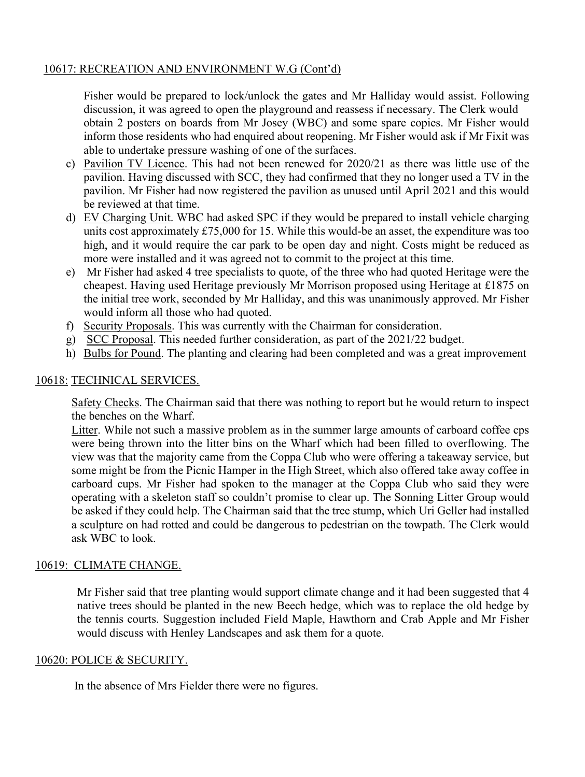# 10617: RECREATION AND ENVIRONMENT W.G (Cont'd)

Fisher would be prepared to lock/unlock the gates and Mr Halliday would assist. Following discussion, it was agreed to open the playground and reassess if necessary. The Clerk would obtain 2 posters on boards from Mr Josey (WBC) and some spare copies. Mr Fisher would inform those residents who had enquired about reopening. Mr Fisher would ask if Mr Fixit was able to undertake pressure washing of one of the surfaces.

- c) Pavilion TV Licence. This had not been renewed for 2020/21 as there was little use of the pavilion. Having discussed with SCC, they had confirmed that they no longer used a TV in the pavilion. Mr Fisher had now registered the pavilion as unused until April 2021 and this would be reviewed at that time.
- d) EV Charging Unit. WBC had asked SPC if they would be prepared to install vehicle charging units cost approximately £75,000 for 15. While this would-be an asset, the expenditure was too high, and it would require the car park to be open day and night. Costs might be reduced as more were installed and it was agreed not to commit to the project at this time.
- e) Mr Fisher had asked 4 tree specialists to quote, of the three who had quoted Heritage were the cheapest. Having used Heritage previously Mr Morrison proposed using Heritage at £1875 on the initial tree work, seconded by Mr Halliday, and this was unanimously approved. Mr Fisher would inform all those who had quoted.
- f) Security Proposals. This was currently with the Chairman for consideration.
- g) SCC Proposal. This needed further consideration, as part of the 2021/22 budget.
- h) Bulbs for Pound. The planting and clearing had been completed and was a great improvement

# 10618: TECHNICAL SERVICES.

Safety Checks. The Chairman said that there was nothing to report but he would return to inspect the benches on the Wharf.

Litter. While not such a massive problem as in the summer large amounts of carboard coffee cps were being thrown into the litter bins on the Wharf which had been filled to overflowing. The view was that the majority came from the Coppa Club who were offering a takeaway service, but some might be from the Picnic Hamper in the High Street, which also offered take away coffee in carboard cups. Mr Fisher had spoken to the manager at the Coppa Club who said they were operating with a skeleton staff so couldn't promise to clear up. The Sonning Litter Group would be asked if they could help. The Chairman said that the tree stump, which Uri Geller had installed a sculpture on had rotted and could be dangerous to pedestrian on the towpath. The Clerk would ask WBC to look.

# 10619: CLIMATE CHANGE.

Mr Fisher said that tree planting would support climate change and it had been suggested that 4 native trees should be planted in the new Beech hedge, which was to replace the old hedge by the tennis courts. Suggestion included Field Maple, Hawthorn and Crab Apple and Mr Fisher would discuss with Henley Landscapes and ask them for a quote.

# 10620: POLICE & SECURITY.

In the absence of Mrs Fielder there were no figures.